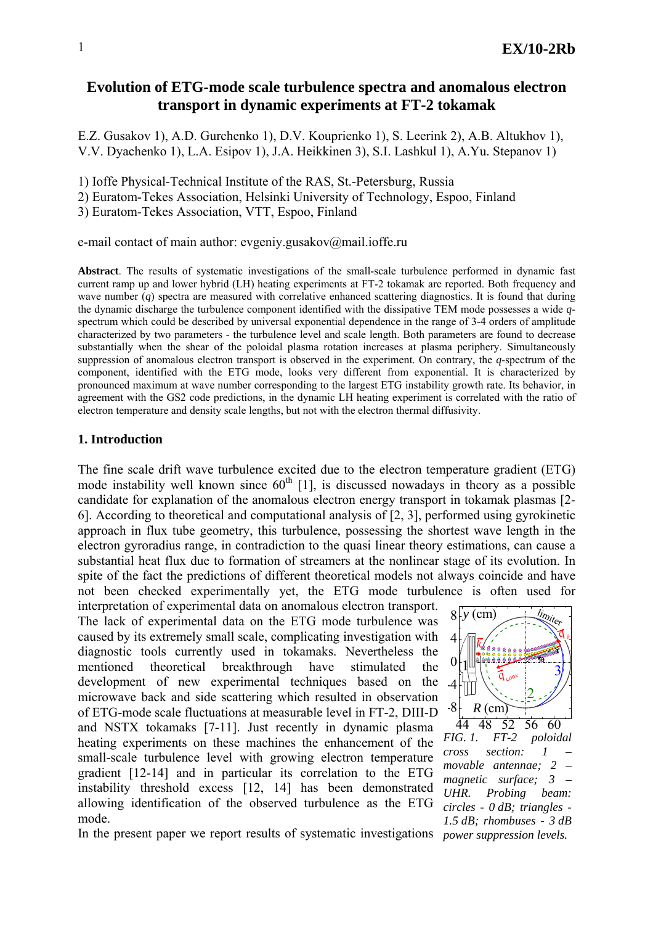# **Evolution of ETG-mode scale turbulence spectra and anomalous electron transport in dynamic experiments at FT-2 tokamak**

E.Z. Gusakov 1), A.D. Gurchenko 1), D.V. Kouprienko 1), S. Leerink 2), A.B. Altukhov 1), V.V. Dyachenko 1), L.A. Esipov 1), J.A. Heikkinen 3), S.I. Lashkul 1), A.Yu. Stepanov 1)

1) Ioffe Physical-Technical Institute of the RAS, St.-Petersburg, Russia

2) Euratom-Tekes Association, Helsinki University of Technology, Espoo, Finland

3) Euratom-Tekes Association, VTT, Espoo, Finland

e-mail contact of main author: [evgeniy.gusakov@mail.ioffe.ru](mailto:evgeniy.gusakov@mail.ioffe.ru)

**Abstract**. The results of systematic investigations of the small-scale turbulence performed in dynamic fast current ramp up and lower hybrid (LH) heating experiments at FT-2 tokamak are reported. Both frequency and wave number (*q*) spectra are measured with correlative enhanced scattering diagnostics. It is found that during the dynamic discharge the turbulence component identified with the dissipative TEM mode possesses a wide *q*spectrum which could be described by universal exponential dependence in the range of 3-4 orders of amplitude characterized by two parameters - the turbulence level and scale length. Both parameters are found to decrease substantially when the shear of the poloidal plasma rotation increases at plasma periphery. Simultaneously suppression of anomalous electron transport is observed in the experiment. On contrary, the *q*-spectrum of the component, identified with the ETG mode, looks very different from exponential. It is characterized by pronounced maximum at wave number corresponding to the largest ETG instability growth rate. Its behavior, in agreement with the GS2 code predictions, in the dynamic LH heating experiment is correlated with the ratio of electron temperature and density scale lengths, but not with the electron thermal diffusivity.

## **1. Introduction**

The fine scale drift wave turbulence excited due to the electron temperature gradient (ETG) mode instability well known since  $60<sup>th</sup>$  [1], is discussed nowadays in theory as a possible candidate for explanation of the anomalous electron energy transport in tokamak plasmas [2- 6]. According to theoretical and computational analysis of [2, 3], performed using gyrokinetic approach in flux tube geometry, this turbulence, possessing the shortest wave length in the electron gyroradius range, in contradiction to the quasi linear theory estimations, can cause a substantial heat flux due to formation of streamers at the nonlinear stage of its evolution. In spite of the fact the predictions of different theoretical models not always coincide and have not been checked experimentally yet, the ETG mode turbulence is often used for

interpretation of experimental data on anomalous electron transport. The lack of experimental data on the ETG mode turbulence was caused by its extremely small scale, complicating investigation with diagnostic tools currently used in tokamaks. Nevertheless the mentioned theoretical breakthrough have stimulated the development of new experimental techniques based on the microwave back and side scattering which resulted in observation of ETG-mode scale fluctuations at measurable level in FT-2, DIII-D and NSTX tokamaks [7-11]. Just recently in dynamic plasma heating experiments on these machines the enhancement of the small-scale turbulence level with growing electron temperature gradient [12-14] and in particular its correlation to the ETG instability threshold excess [12, 14] has been demonstrated allowing identification of the observed turbulence as the ETG mode.



44 48 52 56 60<br>FIG. 1. FT-2 poloid *FIG. 1. FT-2 poloidal cross section: 1 – movable antennae; 2 – magnetic surface; 3 – UHR. Probing beam: circles - 0 dB; triangles - 1.5 dB; rhombuses - 3 dB* 

In the present paper we report results of systematic investigations *power suppression levels.*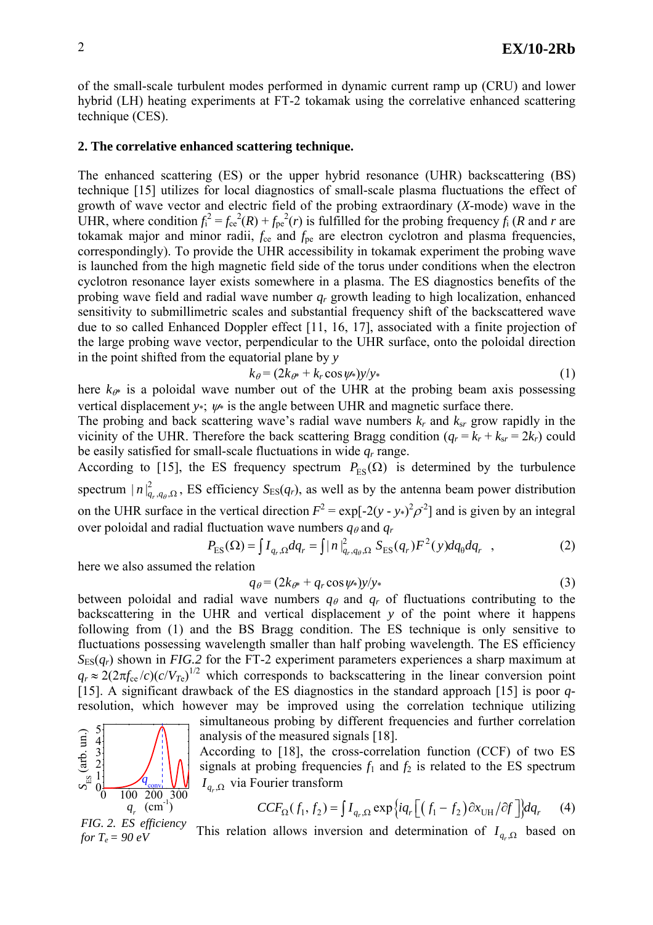of the small-scale turbulent modes performed in dynamic current ramp up (CRU) and lower hybrid (LH) heating experiments at FT-2 tokamak using the correlative enhanced scattering technique (CES).

### **2. The correlative enhanced scattering technique.**

The enhanced scattering (ES) or the upper hybrid resonance (UHR) backscattering (BS) technique [15] utilizes for local diagnostics of small-scale plasma fluctuations the effect of growth of wave vector and electric field of the probing extraordinary (*X*-mode) wave in the UHR, where condition  $f_1^2 = f_{ce}^2(R) + f_{pe}^2(r)$  is fulfilled for the probing frequency  $f_i(R)$  and *r* are tokamak major and minor radii,  $f_{ce}$  and  $f_{pe}$  are electron cyclotron and plasma frequencies, correspondingly). To provide the UHR accessibility in tokamak experiment the probing wave is launched from the high magnetic field side of the torus under conditions when the electron cyclotron resonance layer exists somewhere in a plasma. The ES diagnostics benefits of the probing wave field and radial wave number *qr* growth leading to high localization, enhanced sensitivity to submillimetric scales and substantial frequency shift of the backscattered wave due to so called Enhanced Doppler effect [11, 16, 17], associated with a finite projection of the large probing wave vector, perpendicular to the UHR surface, onto the poloidal direction in the point shifted from the equatorial plane by *y*

$$
k_{\theta} = (2k_{\theta^*} + k_r \cos \psi_*)y/y_* \tag{1}
$$

here  $k_{\theta^*}$  is a poloidal wave number out of the UHR at the probing beam axis possessing vertical displacement  $v^*$ ;  $w^*$  is the angle between UHR and magnetic surface there.

The probing and back scattering wave's radial wave numbers  $k_r$  and  $k_{sr}$  grow rapidly in the vicinity of the UHR. Therefore the back scattering Bragg condition  $(q_r = k_r + k_{sr} = 2k_r)$  could be easily satisfied for small-scale fluctuations in wide  $q_r$  range.

According to [15], the ES frequency spectrum  $P_{ES}(\Omega)$  is determined by the turbulence spectrum  $|n|_{q_r,q_\theta,\Omega}^2$ , ES efficiency  $S_{ES}(q_r)$ , as well as by the antenna beam power distribution on the UHR surface in the vertical direction  $F^2 = \exp[-2(y - y^*)^2 \rho^2]$  and is given by an integral over poloidal and radial fluctuation wave numbers  $q_{\theta}$  and  $q_r$ 

$$
P_{\rm ES}(\Omega) = \int I_{q_r,\Omega} dq_r = \int |n|_{q_r,q_\theta,\Omega}^2 S_{\rm ES}(q_r) F^2(y) dq_\theta dq_r , \qquad (2)
$$

here we also assumed the relation

$$
q_{\theta} = (2k_{\theta^*} + q_r \cos \psi_*)y/y*
$$
\n(3)

between poloidal and radial wave numbers  $q_{\theta}$  and  $q_r$  of fluctuations contributing to the backscattering in the UHR and vertical displacement *y* of the point where it happens following from (1) and the BS Bragg condition. The ES technique is only sensitive to fluctuations possessing wavelength smaller than half probing wavelength. The ES efficiency  $S<sub>ES</sub>(q<sub>r</sub>)$  shown in *FIG.2* for the FT-2 experiment parameters experiences a sharp maximum at  $q_r \approx 2(2\pi f_{ce}/c)(c/V_{Te})^{1/2}$  which corresponds to backscattering in the linear conversion point [15]. A significant drawback of the ES diagnostics in the standard approach [15] is poor *q*resolution, which however may be improved using the correlation technique utilizing

simultaneous probing by different frequencies and further correlation analysis of the measured signals [18].

According to [18], the cross-correlation function (CCF) of two ES signals at probing frequencies  $f_1$  and  $f_2$  is related to the ES spectrum  $I_{q}$   $\alpha$  via Fourier transform

$$
CCF_{\Omega}(f_1, f_2) = \int I_{q_r, \Omega} \exp\left\{iq_r \left[ \left(f_1 - f_2\right) \partial x_{\text{UH}} / \partial f \right] \right\} dq_r \tag{4}
$$

*FIG. 2. ES efficiency for*  $T_e = 90 \text{ eV}$  $q_r^{\text{cm}^{-1}}$ 

 $\begin{array}{c}\nG = 3 \\
\frac{1}{2} \\
G = 1\n\end{array}$ 

 $0\frac{q_{\text{conv}}}{0}$  100 200 300

This relation allows inversion and determination of  $I_{q_r,\Omega}$  based on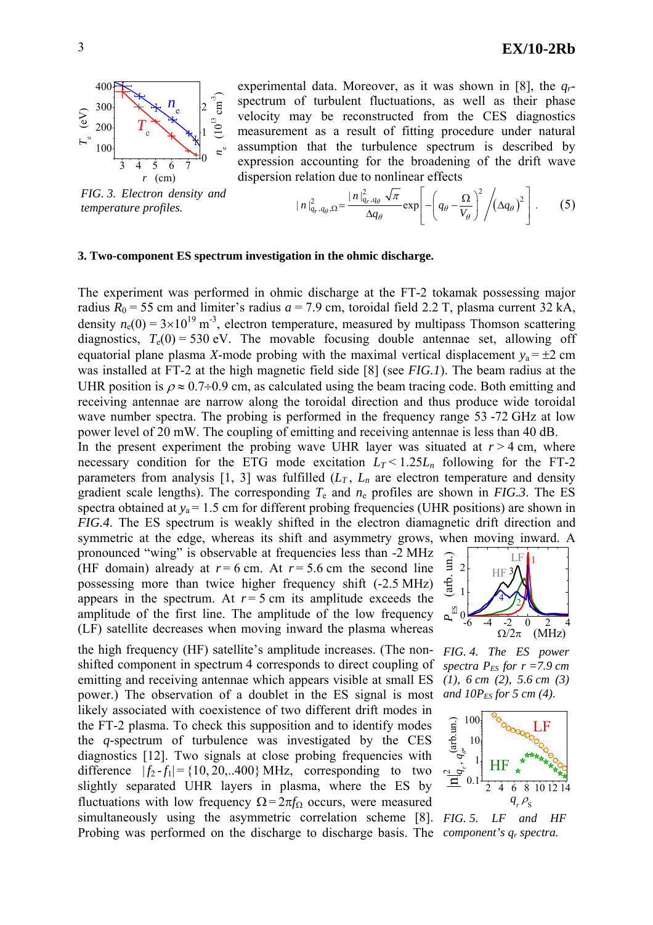

*FIG. 3. Electron density and*  $temperature$  profiles.

experimental data. Moreover, as it was shown in [8], the  $q_r$ spectrum of turbulent fluctuations, as well as their phase velocity may be reconstructed from the CES diagnostics measurement as a result of fitting procedure under natural assumption that the turbulence spectrum is described by expression accounting for the broadening of the drift wave dispersion relation due to nonlinear effects

$$
|n|_{q_r,q_\theta,\Omega}^2 = \frac{|n|_{q_r,q_\theta}^2 \sqrt{\pi}}{\Delta q_\theta} \exp\left[-\left(q_\theta - \frac{\Omega}{V_\theta}\right)^2 / (\Delta q_\theta)^2\right].
$$
 (5)

#### **3. Two-component ES spectrum investigation in the ohmic discharge.**

The experiment was performed in ohmic discharge at the FT-2 tokamak possessing major radius  $R_0$  = 55 cm and limiter's radius  $a$  = 7.9 cm, toroidal field 2.2 T, plasma current 32 kA, density  $n_e(0) = 3 \times 10^{19}$  m<sup>-3</sup>, electron temperature, measured by multipass Thomson scattering diagnostics,  $T_e(0) = 530$  eV. The movable focusing double antennae set, allowing off equatorial plane plasma *X*-mode probing with the maximal vertical displacement  $y_a = \pm 2$  cm was installed at FT-2 at the high magnetic field side [8] (see *FIG.1*). The beam radius at the UHR position is  $\rho \approx 0.7 \div 0.9$  cm, as calculated using the beam tracing code. Both emitting and receiving antennae are narrow along the toroidal direction and thus produce wide toroidal wave number spectra. The probing is performed in the frequency range 53-72 GHz at low power level of 20 mW. The coupling of emitting and receiving antennae is less than 40 dB.

In the present experiment the probing wave UHR layer was situated at  $r > 4$  cm, where necessary condition for the ETG mode excitation  $L_T < 1.25L_n$  following for the FT-2 parameters from analysis  $[1, 3]$  was fulfilled  $(L_T, L_n)$  are electron temperature and density gradient scale lengths). The corresponding  $T_e$  and  $n_e$  profiles are shown in *FIG.3*. The ES spectra obtained at  $y_a = 1.5$  cm for different probing frequencies (UHR positions) are shown in *FIG.4*. The ES spectrum is weakly shifted in the electron diamagnetic drift direction and symmetric at the edge, whereas its shift and asymmetry grows, w hen moving inward. A

pronounced "wing" is observable at frequencies less than -2 MHz (HF domain) already at  $r = 6$  cm. At  $r = 5.6$  cm the second line possessing more than twice higher frequency shift (-2.5 MHz) appears in the spectrum. At  $r = 5$  cm its amplitude exceeds the amplitude of the first line. The amplitude of the low frequency (LF) satellite decreases when moving inward the plasma whereas

the high frequency (HF) satellite's amplitude increases. (The nonshifted component in spectrum 4 corresponds to direct coupling of emitting and receiving antennae which appears visible at small ES power.) The observation of a doublet in the ES signal is most likely associated with coexistence of two different drift modes in the FT-2 plasma. To check this supposition and to identify modes the *q*-spectrum of turbulence was investigated by the CES diagnostics [12]. Two signals at close probing frequencies with difference  $|f_2 - f_1| = \{10, 20, .0400\}$  MHz, corresponding to two slightly separated UHR layers in plasma, where the ES by fluctuations with low frequency  $\Omega = 2\pi f_{\Omega}$  occurs, were measured simultaneously using the asymmetric correlation scheme [8]. *FIG. 5. LF and HF* Probing was performed on the discharge to discharge basis. The *component's q<sub>r</sub> spectra*.



*FIG. 4. The ES power*  spectra  $P_{ES}$  for  $r = 7.9$  cm *(1), 6 cm (2), 5.6 cm (3) and 10P<sub>ES</sub> for 5 cm (4).* 

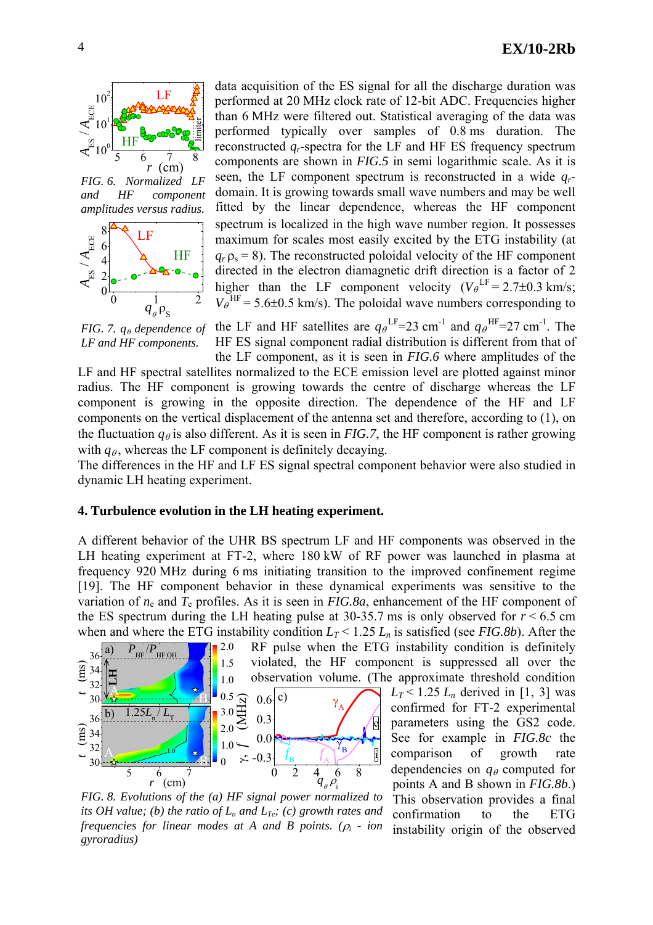



*FIG.* 7.  $q<sub>θ</sub>$  dependence of *LF and HF components.* 

data acquisition of the ES signal for all the discharge duration was performed at 20 MHz clock rate of 12-bit ADC. Frequencies higher than 6 MHz were filtered out. Statistical averaging of the data was performed typically over samples of 0.8 ms duration. The reconstructed *qr*-spectra for the LF and HF ES frequency spectrum components are shown in *FIG.5* in semi logarithmic scale. As it is seen, the LF component spectrum is reconstructed in a wide *qr*domain. It is growing towards small wave numbers and may be well fitted by the linear dependence, whereas the HF component spectrum is localized in the high wave number region. It possesses maximum for scales most easily excited by the ETG instability (at  $q_r$   $\rho_s$  = 8). The reconstructed poloidal velocity of the HF component directed in the electron diamagnetic drift direction is a factor of 2 higher than the LF component velocity  $(V_{\theta}^{LF} = 2.7 \pm 0.3 \text{ km/s})$ ;  $V_e$ <sup>HF</sup> = 5.6±0.5 km/s). The poloidal wave numbers corresponding to

the LF and HF satellites are  $q_{\theta}$ <sup>LF</sup>=23 cm<sup>-1</sup> and  $q_{\theta}$ <sup>HF</sup>=27 cm<sup>-1</sup>. The HF ES signal component radial distribution is different from that of the LF component, as it is seen in *FIG.6* where amplitudes of the

LF and HF spectral satellites normalized to the ECE emission level are plotted against minor radius. The HF component is growing towards the centre of discharge whereas the LF component is growing in the opposite direction. The dependence of the HF and LF components on the vertical displacement of the antenna set and therefore, according to (1), on the fluctuation  $q_{\theta}$  is also different. As it is seen in *FIG.7*, the HF component is rather growing with  $q_{\theta}$ , whereas the LF component is definitely decaying.

The differences in the HF and LF ES signal spectral component behavior were also studied in dynamic LH heating experiment.

## **. Turbulence evolution in the LH heating experiment. 4**

A different behavior of the UHR BS spectrum LF and HF components was observed in the when and where the ETG instability condition  $L_T < 1.25 L_n$  is satisfied (see *FIG.8b*). After the LH heating experiment at FT-2, where 180 kW of RF power was launched in plasma at frequency 920 MHz during 6 ms initiating transition to the improved confinement regime [19]. The HF component behavior in these dynamical experiments was sensitive to the variation of  $n_e$  and  $T_e$  profiles. As it is seen in *FIG.8a*, enhancement of the HF component of the ES spectrum during the LH heating pulse at  $30-35.7$  ms is only observed for  $r < 6.5$  cm



*FIG. 8. Evolutions of the (a) HF signal power normalized to its OH value; (b) the ratio of*  $L_n$  *and*  $L_{T_e}$ *; (c) growth rates and frequencies for linear modes at A and B points. (*ρ*i - ion gyroradius)*

 $L_T$  < 1.25  $L_n$  derived in [1, 3] was confirmed for FT-2 experimental parameters using the GS2 code. See for example in *FIG.8c* the comparison of growth rate dependencies on  $q_\theta$  computed for points A and B shown in *FIG.8b*.) This observation provides a final confirmation to the ETG instability origin of the observed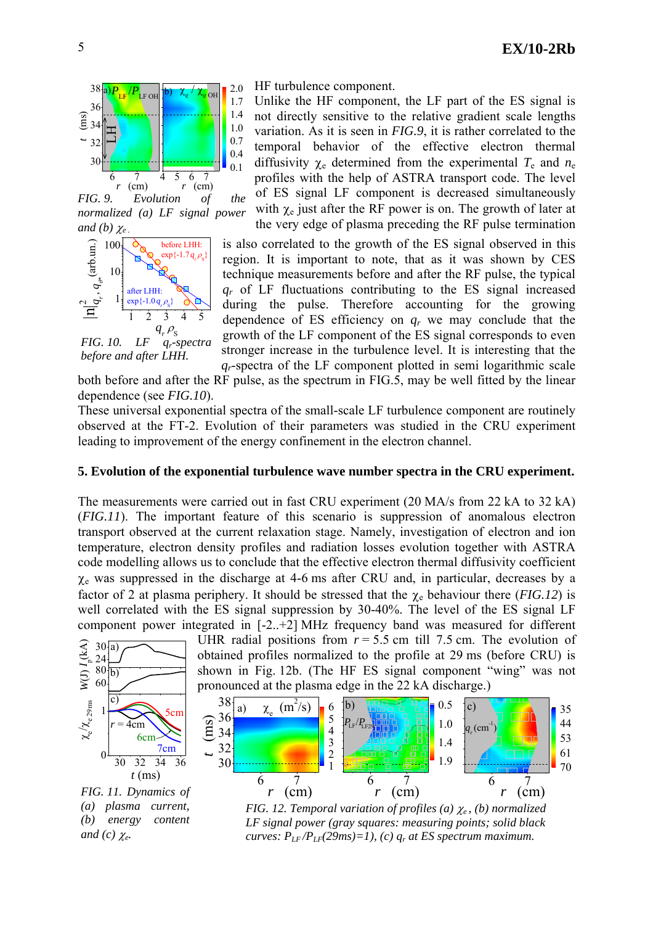

*FIG. 9. Evolution of the normalized (a) LF signal power and (b)*  $\chi$ 



*FIG. 10. LF qr-spectra*

HF turbulence component.

Unlike the HF component, the LF part of the ES signal is not directly sensitive to the relative gradient scale lengths variation. As it is seen in *FIG.9*, it is rather correlated to the temporal behavior of the effective electron thermal diffusivity  $\chi_e$  determined from the experimental  $T_e$  and  $n_e$ profiles with the help of ASTRA transport code. The level of ES signal LF component is decreased simultaneously with  $\chi_e$  just after the RF power is on. The growth of later at the very edge of plasma preceding the RF pulse termination

is also correlated to the growth of the ES signal observed in this region. It is important to note, that as it was shown by CES technique measurements before and after the RF pulse, the typical *qr* of LF fluctuations contributing to the ES signal increased during the pulse. Therefore accounting for the growing dependence of ES efficiency on *qr* we may conclude that the growth of the LF component of the ES signal corresponds to even stronger increase in the turbulence level. It is interesting that the *qr*-spectra of the LF component plotted in semi logarithmic scale

both before and after the RF pulse, as the spectrum in FIG.5, may be well fitted by the linear dependence (see *FIG.10*).

These universal exponential spectra of the small-scale LF turbulence component are routinely observed at the FT-2. Ev olution of their parameters was studied in the CRU experiment leading to improvement of the energy confinement in the electron channel.

## **RU experiment. 5. Evolution of the exponential turbulence wave number spectra in the C**

The measurements were carried out in fast CRU experiment (20 MA/s from 22 kA to 32 kA) (*FIG.11*). The important feature of this scenario is suppression of anomalous electron transport observed at the current relaxation stage. Namely, investigation of electron and ion temperature, electron density profiles and radiation losses evolution together with ASTRA code modelling allows us to conclude that the effective electron thermal diffusivity coefficient  $\chi$ <sub>e</sub> was suppressed in the discharge at 4-6 ms after CRU and, in particular, decreases by a factor of 2 at plasma periphery. It should be stressed that the  $\chi_e$  behaviour there (*FIG.12*) is well correlated with the ES signal suppression by 30-40%. The level of the ES signal LF component power integrated in [-2..+2] MHz frequency band was measured for different



*(a) plasma current, (b) energy content and* (c)  $\chi_e$ .

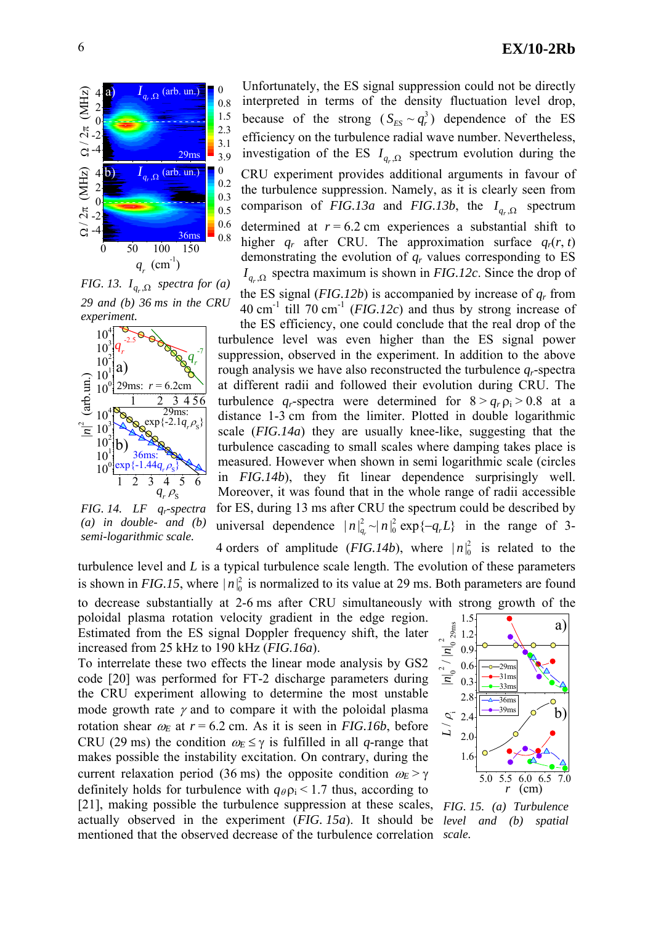

*FIG. 13.*  $I_{q_n,\Omega}$  *spectra for (a) 29 and (b) 36 ms in the CRU experiment.* 



*FIG. 14. LF qr-spectra (a) in double- and (b) semi-logarithmic scale.* 

Unfortunately, the ES signal suppression could not be directly interpreted in terms of the density fluctuation level drop, because of the strong  $(S_{FS} \sim q_r^3)$  dependence of the ES efficiency on the turbulence radial wave number. Nevertheless, investigation of the ES  $I_{q_r,\Omega}$  spectrum evolution during the CRU experiment provides additional arguments in favour of the turbulence suppression. Namely, as it is clearly seen from comparison of *FIG.13a* and *FIG.13b*, the  $I_{q_i,\Omega}$  spectrum determined at  $r = 6.2$  cm experiences a substantial shift to higher  $q_r$  after CRU. The approximation surface  $q_r(r, t)$ demonstrating the evolution of *qr* values corresponding to ES  $I_{q}$  spectra maximum is shown in *FIG.12c*. Since the drop of

the ES signal ( $FIG.12b$ ) is accompanied by increase of  $q_r$  from  $40 \text{ cm}^{-1}$  till  $70 \text{ cm}^{-1}$  (*FIG.12c*) and thus by strong increase of

the ES efficiency, one could conclude that the real drop of the turbulence level was even higher than the ES signal power suppression, observed in the experiment. In addition to the above rough analysis we have also reconstructed the turbulence *qr*-spectra at different radii and followed their evolution during CRU. The turbulence  $q_r$ -spectra were determined for  $8 > q_r \rho_i > 0.8$  at a distance 1-3 cm from the limiter. Plotted in double logarithmic scale (*FIG.14a*) they are usually knee-like, suggesting that the turbulence cascading to small scales where damping takes place is measured. However when shown in semi logarithmic scale (circles in *FIG.14b*), they fit linear dependence surprisingly well. Moreover, it was found that in the whole range of radii accessible for ES, during 13 ms after CRU the spectrum could be described by universal dependence  $|n|_{q_r}^2 \sim |n|_0^2 \exp\{-q_r L\}$  in the range of 3-

4 orders of amplitude (*FIG.14b*), where  $|n|^2$  is related to the turbulence level and  $L$  is a typical turbulence scale length. The evolution of these parameters is shown in *FIG.15*, where  $|n|^2_0$  is normalized to its value at 29 ms. Both parameters are found

to d ecrease substantially at 2-6 ms after CRU simultaneously with strong growth of the To interrelate these two effects the linear mode analysis by GS2 poloidal plasma rotation velocity gradient in the edge region. Estimated from the ES signal Doppler frequency shift, the later increased from 25 kHz to 190 kHz (*FIG.16a*).

code [20] was performed for FT-2 discharge parameters during the CRU experiment allowing to determine the most unstable mode growth rate  $\gamma$  and to compare it with the poloidal plasma rotation shear  $\omega_E$  at  $r = 6.2$  cm. As it is seen in *FIG.16b*, before CRU (29 ms) the condition  $\omega_E \leq \gamma$  is fulfilled in all *q*-range that makes possible the instability excitation. On contrary, during the current relaxation period (36 ms) the opposite condition  $\omega_E > \gamma$ definitely holds for turbulence with  $q_{\theta} \rho_i \leq 1.7$  thus, according to [21], making possible the turbulence suppression at these scales, *FIG. 15. (a) Turbulence* actually observed in the experiment (*FIG. 15a*). It should be mentioned that the observed decrease of the turbulence correlation *scale.* 



*level and (b) spatial*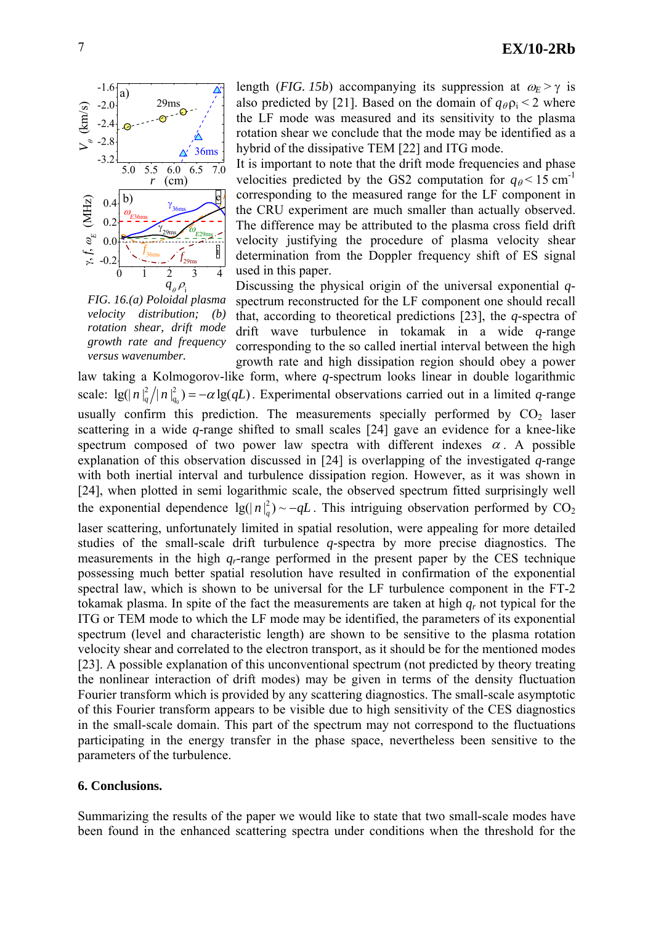

*FIG. 16.(a) Poloidal plasma velocity distribution; (b) rotation shear, drift mode growth rate and frequency versus wavenumber.* 

length (*FIG. 15b*) accompanying its suppression at  $\omega_E > \gamma$  is also predicted by [21]. Based on the domain of  $q_{\theta}$   $p_i$  < 2 where he LF mode was measured and its sensitivity to the plasma t rotation shear we conclude that the mode may be identified as a hybrid of the dissipative TEM [22] and ITG mode.

It is important to note that the drift mode frequencies and phase velocities predicted by the GS2 computation for  $q_{\theta}$  < 15 cm<sup>-1</sup> corresponding to the measured range for the LF component in the CRU experiment are much smaller than actually observed. The difference may be attributed to the plasma cross field drift velocity justifying the procedure of plasma velocity shear determination from the Doppler frequency shift of ES signal used in this paper.

spectrum reconstructed for the LF component one should recall Discussing the physical origin of the universal exponential *q*that, according to theoretical predictions [23], the *q*-spectra of drift wave turbulence in tokamak in a wide *q*-range corresponding to the so called inertial interval between the high growth rate and high dissipation region should obey a power

law taking a Kolmogorov-like form, where *q*-spectrum looks linear in double logarithmic scale:  $\lg(|n|^2_q/|n|^2_{q_0}) = -\alpha \lg(qL)$ . Experimental observations carried out in a limited *q*-range usually confirm this prediction. The measurements specially performed by  $CO<sub>2</sub>$  laser scattering in a wide *q*-range shifted to small scales [24] gave an evidence for a knee-like spectrum composed of two power law spectra with different indexes  $\alpha$ . A possible explanation of this observation discussed in [24] is overlapping of the investigated *q*-range with both inertial interval and turbulence dissipation region. However, as it was shown in [24], when plotted in semi logarithmic scale, the observed spectrum fitted surprisingly well the exponential dependence  $\lg(|n|_q^2) \sim -qL$ . This intriguing observation performed by CO<sub>2</sub> laser scattering, unfortunately limited in spatial resolution, were appealing for more detailed studies of the small-scale drift turbulence *q*-spectra by more precise diagnostics. The measurements in the high *q <sup>r</sup>*-range performed in the present paper by the CES technique possessing much better spatial resolution have resulted in confirmation of the exponential spectral law, which is shown to be universal for the LF turbulence component in the FT-2 tokamak plasma. In spite of the fact the measurements are taken at high  $q_r$  not typical for the ITG or TEM mode to which the LF mode may be identified, the parameters of its exponential spectrum (level and characteristic length) are shown to be sensitive to the plasma rotation velocity shear and correlated to the electron transport, as it should be for the mentioned modes [23]. A possible explanation of this unconventional spectrum (not predicted by theory treating the nonlinear interaction of drift modes) may be given in terms of the density fluctuation Fourier transform which is provided by any scattering diagnostics. The small-scale asymptotic of this Fourier transform appears to be visible due to high sensitivity of the CES diagnostics in the small-scale domain. This part of the spectrum may not correspond to the fluctuations participating in the energy transfer in the phase space, nevertheless been sensitive to the parameters of the turbulence.

### **. Conclusions. 6**

Summarizing the results of the paper we would like to state that two small-scale modes have been found in the enhanced scattering spectra under conditions when the threshold for the